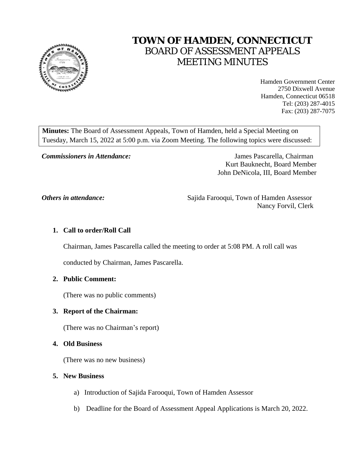

# **TOWN OF HAMDEN, CONNECTICUT** BOARD OF ASSESSMENT APPEALS MEETING MINUTES

Hamden Government Center 2750 Dixwell Avenue Hamden, Connecticut 06518 Tel: (203) 287-4015 Fax: (203) 287-7075

**Minutes:** The Board of Assessment Appeals, Town of Hamden, held a Special Meeting on Tuesday, March 15, 2022 at 5:00 p.m. via Zoom Meeting. The following topics were discussed:

*Commissioners in Attendance:* James Pascarella, Chairman Kurt Bauknecht, Board Member John DeNicola, III, Board Member

*Others in attendance:* Sajida Farooqui, Town of Hamden Assessor Nancy Forvil, Clerk

### **1. Call to order/Roll Call**

Chairman, James Pascarella called the meeting to order at 5:08 PM. A roll call was

conducted by Chairman, James Pascarella.

#### **2. Public Comment:**

(There was no public comments)

#### **3. Report of the Chairman:**

(There was no Chairman's report)

#### **4. Old Business**

(There was no new business)

#### **5. New Business**

- a) Introduction of Sajida Farooqui, Town of Hamden Assessor
- b) Deadline for the Board of Assessment Appeal Applications is March 20, 2022.